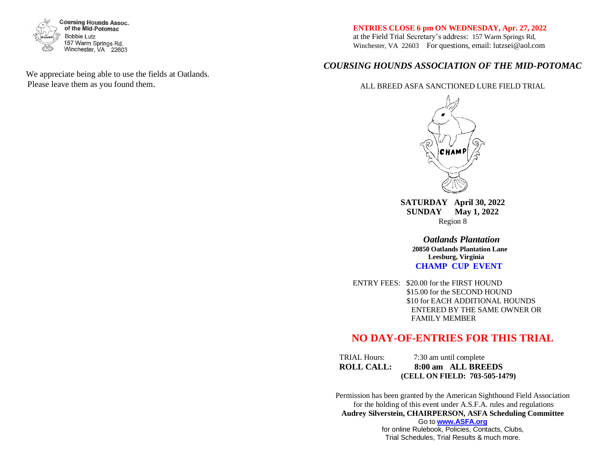

of the Mid-Potomac 157 Warm Springs Rd.<br>Winchester, VA 22603

 We appreciate being able to use the fields at Oatlands. Please leave them as you found them.

### **ENTRIES CLOSE 6 pm ON WEDNESDAY, Apr. 27, 2022**

 at the Field Trial Secretary's address: 157 Warm Springs Rd, Winchester, VA 22603 For questions, email: lutzsei@aol.com

# *COURSING HOUNDS ASSOCIATION OF THE MID-POTOMAC*

### ALL BREED ASFA SANCTIONED LURE FIELD TRIAL



**SATURDAY April 30, 2022 SUNDAY May 1, 2022**  Region 8

> *Oatlands Plantation*  **20850 Oatlands Plantation Lane Leesburg, Virginia CHAMP CUP EVENT**

 ENTRY FEES: \$20.00 for the FIRST HOUND \$15.00 for the SECOND HOUND \$10 for EACH ADDITIONAL HOUNDS ENTERED BY THE SAME OWNER OR FAMILY MEMBER

# **NO DAY-OF-ENTRIES FOR THIS TRIAL**

| TRIAL Hours:      | 7:30 am until complete        |
|-------------------|-------------------------------|
| <b>ROLL CALL:</b> | 8:00 am ALL BREEDS            |
|                   | (CELL ON FIELD: 703-505-1479) |

Permission has been granted by the American Sighthound Field Association for the holding of this event under A.S.F.A. rules and regulations **Audrey Silverstein, CHAIRPERSON, ASFA Scheduling Committee** Go to **[www.ASFA.org](http://www.asfa.org/)** for online Rulebook, Policies, Contacts, Clubs,

Trial Schedules, Trial Results & much more.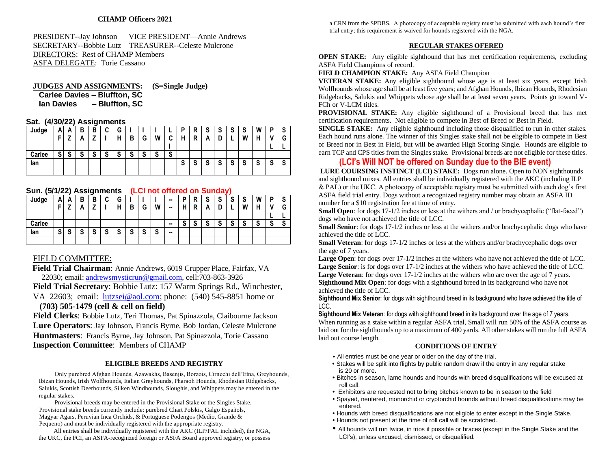### **CHAMP Officers 2021**

PRESIDENT--Jay Johnson VICE PRESIDENT—Annie Andrews SECRETARY--Bobbie Lutz TREASURER--Celeste Mulcrone DIRECTORS: Rest of CHAMP Members ASFA DELEGATE: Torie Cassano

### **JUDGES AND ASSIGNMENTS: (S=Single Judge)**

 **Carlee Davies – Bluffton, SC**

 **Ian Davies – Bluffton, SC**

### **Sat. (4/30/22) Assignments**

| Judge  | A<br>┍ | A<br>- | в<br>n | <br>в  | ∼<br>u | G<br>н | B      | G      | W      | ⌒<br>ື | D<br>н | R<br>n<br>R     | c<br>o<br>А | v<br>ш | S      | S<br>W | W<br>ш | D | $\sim$                    |
|--------|--------|--------|--------|--------|--------|--------|--------|--------|--------|--------|--------|-----------------|-------------|--------|--------|--------|--------|---|---------------------------|
|        |        |        |        |        |        |        |        |        |        |        |        |                 |             |        |        |        |        | - |                           |
| Carlee | e<br>o | e<br>v | c<br>o | е<br>v | ⌒<br>v | ິ<br>ν | c<br>৩ | c<br>w | e<br>o | c<br>P |        |                 |             |        |        |        |        |   |                           |
| lan    |        |        |        |        |        |        |        |        |        |        | c<br>P | $\epsilon$<br>P | ິ<br>w      | ີ      | c<br>J | e<br>C | e<br>C | ◠ | $\ddot{\phantom{1}}$<br>v |
|        |        |        |        |        |        |        |        |        |        |        |        |                 |             |        |        |        |        |   |                           |

|        |   |   |        |   | 1.00019111101100 |   |        |        |        |    |                           |        |        | .      |         |        |                |                           |        |
|--------|---|---|--------|---|------------------|---|--------|--------|--------|----|---------------------------|--------|--------|--------|---------|--------|----------------|---------------------------|--------|
| Judge  | n | A | в      | В | ∼<br>u           | G |        |        |        | -- | D                         | R      | e<br>υ | е<br>a | e<br>۰J | S      | W              | D                         |        |
|        |   |   | n      |   |                  | ц | в      | G      | W      | -- |                           | R      | А      | D      |         | W      | н              | . .                       | G      |
|        |   |   |        |   |                  |   |        |        |        |    |                           |        |        |        |         |        |                |                           |        |
| Carlee |   |   |        |   |                  |   |        |        |        | -- | $\ddot{\phantom{0}}$<br>o | c<br>ა | e<br>o | e<br>o | c<br>۰  | c<br>ა | $\bullet$<br>P | $\ddot{\phantom{1}}$<br>o | ~<br>w |
| lan    | o | S | c<br>o | J | e<br>ν           | S | c<br>ა | e<br>P | ົ<br>o | -  |                           |        |        |        |         |        |                |                           |        |
|        |   |   |        |   |                  |   |        |        |        |    |                           |        |        |        |         |        |                |                           |        |

### **Sun. (5/1/22) Assignments (LCI not offered on Sunday)**

### FIELD COMMITTEE:

 **Field Trial Chairman**: Annie Andrews, 6019 Crupper Place, Fairfax, VA 22030; email[: andrewsmysticrun@gmail.com,](mailto:andrewsmysticrun@gmail.com) cell:703-863-3926

**Field Trial Secretary**: Bobbie Lutz: 157 Warm Springs Rd., Winchester, VA 22603; email: [lutzsei@aol.com;](mailto:lutzsei@aol.com) phone: (540) 545-8851 home or

### **(703) 505-1479 (cell & cell on field)**

**Field Clerks**: Bobbie Lutz, Teri Thomas, Pat Spinazzola, Claibourne Jackson **Lure Operators**: Jay Johnson, Francis Byrne, Bob Jordan, Celeste Mulcrone **Huntmasters**: Francis Byrne, Jay Johnson, Pat Spinazzola, Torie Cassano **Inspection Committee**: Members of CHAMP

### **ELIGIBLE BREEDS AND REGISTRY**

 Only purebred Afghan Hounds, Azawakhs, Basenjis, Borzois, Cirnechi dell'Etna, Greyhounds, Ibizan Hounds, Irish Wolfhounds, Italian Greyhounds, Pharaoh Hounds, Rhodesian Ridgebacks, Salukis, Scottish Deerhounds, Silken Windhounds, Sloughis, and Whippets may be entered in the regular stakes.

 Provisional breeds may be entered in the Provisional Stake or the Singles Stake. Provisional stake breeds currently include: purebred Chart Polskis, Galgo Españols, Magyar Agars, Peruvian Inca Orchids, & Portuguese Podengos (Medio, Grande & Pequeno) and must be individually registered with the appropriate registry.

All entries shall be individually registered with the AKC (ILP/PAL included), the NGA, the UKC, the FCI, an ASFA-recognized foreign or ASFA Board approved registry, or possess

a CRN from the SPDBS. A photocopy of acceptable registry must be submitted with each hound's first trial entry; this requirement is waived for hounds registered with the NGA.

### **REGULAR STAKES OFERED**

**OPEN STAKE:** Any eligible sighthound that has met certification requirements, excluding ASFA Field Champions of record.

**FIELD CHAMPION STAKE:** Any ASFA Field Champion

**VETERAN STAKE:** Any eligible sighthound whose age is at least six years, except Irish Wolfhounds whose age shall be at least five years; and Afghan Hounds, Ibizan Hounds, Rhodesian Ridgebacks, Salukis and Whippets whose age shall be at least seven years. Points go toward V-FCh or V-LCM titles.

**PROVISIONAL STAKE:** Any eligible sighthound of a Provisional breed that has met certification requirements. Not eligible to compete in Best of Breed or Best in Field.

**SINGLE STAKE:** Any eligible sighthound including those disqualified to run in other stakes. Each hound runs alone. The winner of this Singles stake shall not be eligible to compete in Best of Breed nor in Best in Field, but will be awarded High Scoring Single. Hounds are eligible to earn TCP and CPS titles from the Singles stake. Provisional breeds are not eligible for these titles.

### **(LCI's Will NOT be offered on Sunday due to the BIE event)**

**LURE COURSING INSTINCT (LCI) STAKE:** Dogs run alone. Open to NON sighthounds and sighthound mixes. All entries shall be individually registered with the AKC (including ILP & PAL) or the UKC. A photocopy of acceptable registry must be submitted with each dog's first ASFA field trial entry. Dogs without a recognized registry number may obtain an ASFA ID number for a \$10 registration fee at time of entry.

**Small Open**: for dogs  $17-1/2$  inches or less at the withers and / or brachycephalic ("flat-faced") dogs who have not achieved the title of LCC.

**Small Senior**: for dogs 17-1/2 inches or less at the withers and/or brachycephalic dogs who have achieved the title of LCC.

**Small Veteran**: for dogs 17-1/2 inches or less at the withers and/or brachycephalic dogs over the age of 7 years.

Large Open: for dogs over  $17-1/2$  inches at the withers who have not achieved the title of LCC. **Large Senior**: is for dogs over 17-1/2 inches at the withers who have achieved the title of LCC. **Large Veteran**: for dogs over  $17-1/2$  inches at the withers who are over the age of 7 years. **Sighthound Mix Open**: for dogs with a sighthound breed in its background who have not achieved the title of LCC.

**Sighthound Mix Senior**: for dogs with sighthound breed in its background who have achieved the title of LCC.

**Sighthound Mix Veteran**: for dogs with sighthound breed in its background over the age of 7 years. When running as a stake within a regular ASFA trial, Small will run 50% of the ASFA course as laid out for the sighthounds up to a maximum of 400 yards. All other stakes will run the full ASFA laid out course length.

### **CONDITIONS OF ENTRY**

- All entries must be one year or older on the day of the trial.
- Stakes will be split into flights by public random draw if the entry in any regular stake is 20 or more**.**
- Bitches in season, lame hounds and hounds with breed disqualifications will be excused at roll call.
- Exhibitors are requested not to bring bitches known to be in season to the field
- Spayed, neutered, monorchid or cryptorchid hounds without breed disqualifications may be entered.
- Hounds with breed disqualifications are not eligible to enter except in the Single Stake.
- Hounds not present at the time of roll call will be scratched.
- All hounds will run twice, in trios if possible or braces (except in the Single Stake and the LCI's), unless excused, dismissed, or disqualified.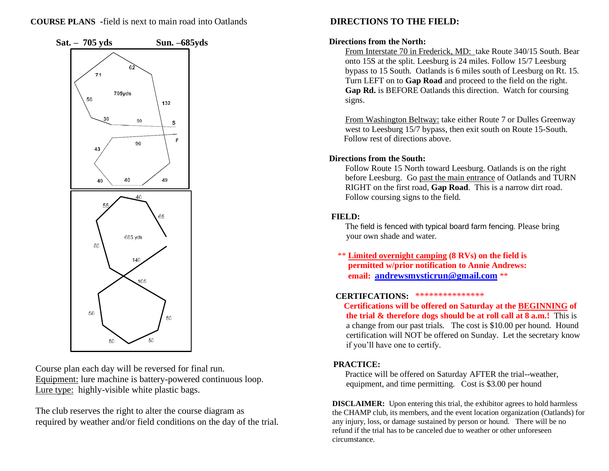# **COURSE PLANS -**field is next to main road into Oatlands



 Course plan each day will be reversed for final run. Equipment: lure machine is battery-powered continuous loop. Lure type: highly-visible white plastic bags.

 The club reserves the right to alter the course diagram as required by weather and/or field conditions on the day of the trial.

# **DIRECTIONS TO THE FIELD:**

## **Directions from the North:**

From Interstate 70 in Frederick, MD: take Route 340/15 South. Bear onto 15S at the split. Leesburg is 24 miles. Follow 15/7 Leesburg bypass to 15 South. Oatlands is 6 miles south of Leesburg on Rt. 15. Turn LEFT on to **Gap Road** and proceed to the field on the right. **Gap Rd.** is BEFORE Oatlands this direction. Watch for coursing signs.

From Washington Beltway: take either Route 7 or Dulles Greenway west to Leesburg 15/7 bypass, then exit south on Route 15-South. Follow rest of directions above.

# **Directions from the South:**

Follow Route 15 North toward Leesburg. Oatlands is on the right before Leesburg. Go past the main entrance of Oatlands and TURN RIGHT on the first road, **Gap Road**. This is a narrow dirt road. Follow coursing signs to the field.

# **FIELD:**

The field is fenced with typical board farm fencing. Please bring your own shade and water.

\*\* **Limited overnight camping (8 RVs) on the field is permitted w/prior notification to Annie Andrews: email: [andrewsmysticrun@gmail.com](mailto:andrewsmysticrun@gmail.com)** \*\*

# **CERTIFCATIONS:** \*\*\*\*\*\*\*\*\*\*\*\*\*\*\*

 **Certifications will be offered on Saturday at the BEGINNING of the trial & therefore dogs should be at roll call at 8 a.m.!** This is a change from our past trials. The cost is \$10.00 per hound. Hound certification will NOT be offered on Sunday. Let the secretary know if you'll have one to certify.

# **PRACTICE:**

Practice will be offered on Saturday AFTER the trial--weather, equipment, and time permitting. Cost is \$3.00 per hound

**DISCLAIMER:** Upon entering this trial, the exhibitor agrees to hold harmless the CHAMP club, its members, and the event location organization (Oatlands) for any injury, loss, or damage sustained by person or hound. There will be no refund if the trial has to be canceled due to weather or other unforeseen circumstance.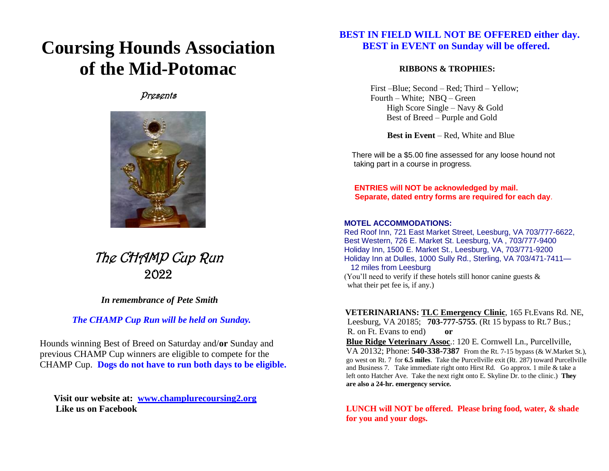# **Coursing Hounds Association of the Mid-Potomac**

# Presents



The CHAMP Cup Run 2022

*In remembrance of Pete Smith*

 *The CHAMP Cup Run will be held on Sunday.*

Hounds winning Best of Breed on Saturday and/**or** Sunday and previous CHAMP Cup winners are eligible to compete for the CHAMP Cup. **Dogs do not have to run both days to be eligible.**

**Visit our website at: [www.champlurecoursing2.org](http://www.champlurecoursing2.org/) Like us on Facebook**

# **BEST IN FIELD WILL NOT BE OFFERED either day. BEST in EVENT on Sunday will be offered.**

# **RIBBONS & TROPHIES:**

 First –Blue; Second – Red; Third – Yellow; Fourth – White; NBQ – Green High Score Single – Navy & Gold Best of Breed – Purple and Gold

 **Best in Event** – Red, White and Blue

 There will be a \$5.00 fine assessed for any loose hound not taking part in a course in progress.

 **ENTRIES will NOT be acknowledged by mail. Separate, dated entry forms are required for each day**.

### **MOTEL ACCOMMODATIONS:**

 Red Roof Inn, 721 East Market Street, Leesburg, VA 703/777-6622, Best Western, 726 E. Market St. Leesburg, VA , 703/777-9400 Holiday Inn, 1500 E. Market St., Leesburg, VA, 703/771-9200 Holiday Inn at Dulles, 1000 Sully Rd., Sterling, VA 703/471-7411— 12 miles from Leesburg (You'll need to verify if these hotels still honor canine guests & what their pet fee is, if any.)

 **VETERINARIANS: TLC Emergency Clinic**, 165 Ft.Evans Rd. NE, Leesburg, VA 20185; **703-777-5755**. (Rt 15 bypass to Rt.7 Bus.; R. on Ft. Evans to end) **or**

**Blue Ridge Veterinary Assoc**.: 120 E. Cornwell Ln., Purcellville, VA 20132; Phone: **540-338-7387** From the Rt. 7-15 bypass (& W.Market St.), go west on Rt. 7 for **6.5 miles**. Take the Purcellville exit (Rt. 287) toward Purcellville and Business 7. Take immediate right onto Hirst Rd. Go approx. 1 mile & take a left onto Hatcher Ave. Take the next right onto E. Skyline Dr. to the clinic.) **They are also a 24-hr. emergency service.**

**LUNCH will NOT be offered. Please bring food, water, & shade for you and your dogs.**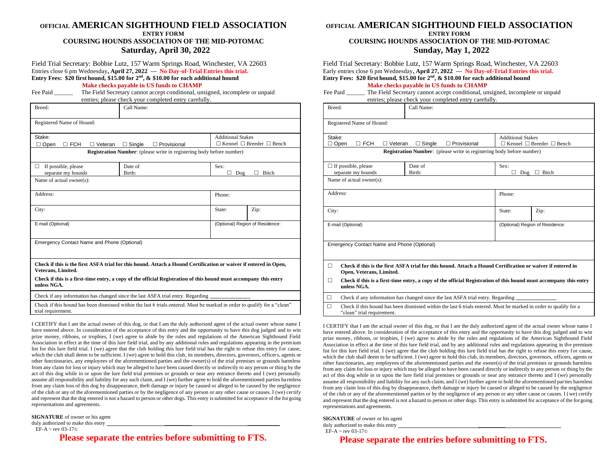### **OFFICIAL AMERICAN SIGHTHOUND FIELD ASSOCIATION ENTRY FORM COURSING HOUNDS ASSOCIATION OF THE MID-POTOMAC Saturday, April 30, 2022**

Field Trial Secretary: Bobbie Lutz, 157 Warm Springs Road, Winchester, VA 22603 Entries close 6 pm Wednesday**, April 27, 2022** --- **No Day-of-Trial Entries this trial. Entry Fees: \$20 first hound, \$15.00 for 2nd , & \$10.00 for each additional hound Make checks payable in US funds to CHAMP**

Fee Paid \_\_\_\_\_\_\_ The Field Secretary cannot accept conditional, unsigned, incomplete or unpaid entries; please check your completed entry carefully.

| Breed:                                                | Call Name:                                                                                                                                                                                                                           |                          |                                           |
|-------------------------------------------------------|--------------------------------------------------------------------------------------------------------------------------------------------------------------------------------------------------------------------------------------|--------------------------|-------------------------------------------|
| Registered Name of Hound:                             |                                                                                                                                                                                                                                      |                          |                                           |
| Stake:<br>$\Box$ Open<br>$\Box$ FCH<br>$\Box$ Veteran | $\Box$ Single<br>$\Box$ Provisional                                                                                                                                                                                                  | <b>Additional Stakes</b> | $\Box$ Kennel $\Box$ Breeder $\Box$ Bench |
|                                                       | <b>Registration Number:</b> (please write in registering body before number)                                                                                                                                                         |                          |                                           |
| If possible, please<br>п<br>separate my hounds        | Date of<br>Birth:                                                                                                                                                                                                                    | Sex:<br>n<br>Dog         | <b>Bitch</b>                              |
| Name of actual owner(s):                              |                                                                                                                                                                                                                                      |                          |                                           |
| Address:                                              |                                                                                                                                                                                                                                      | Phone:                   |                                           |
| City:                                                 |                                                                                                                                                                                                                                      | State:                   | Zip:                                      |
| E-mail (Optional)                                     |                                                                                                                                                                                                                                      |                          | (Optional) Region of Residence:           |
| Emergency Contact Name and Phone (Optional)           |                                                                                                                                                                                                                                      |                          |                                           |
| Veterans, Limited.<br>unless NGA.                     | Check if this is the first ASFA trial for this hound. Attach a Hound Certification or waiver if entered in Open,<br>Check if this is a first-time entry, a copy of the official Registration of this hound must accompany this entry |                          |                                           |
|                                                       | Check if any information has changed since the last ASFA trial entry. Regarding                                                                                                                                                      |                          |                                           |
| trial requirement.                                    | Check if this hound has been dismissed within the last 6 trials entered. Must be marked in order to qualify for a "clean"                                                                                                            |                          |                                           |

I CERTIFY that I am the actual owner of this dog, or that I am the duly authorized agent of the actual owner whose name I have entered above. In consideration of the acceptance of this entry and the opportunity to have this dog judged and to win prize money, ribbons, or trophies, I (we) agree to abide by the rules and regulations of the American Sighthound Field Association in effect at the time of this lure field trial, and by any additional rules and regulations appearing in the premium list for this lure field trial. I (we) agree that the club holding this lure field trial has the right to refuse this entry for cause, which the club shall deem to be sufficient. I (we) agree to hold this club, its members, directors, governors, officers, agents or other functionaries, any employees of the aforementioned parties and the owner(s) of the trial premises or grounds harmless from any claim for loss or injury which may be alleged to have been caused directly or indirectly to any person or thing by the act of this dog while in or upon the lure field trial premises or grounds or near any entrance thereto and I (we) personally assume all responsibility and liability for any such claim, and I (we) further agree to hold the aforementioned parties harmless from any claim loss of this dog by disappearance, theft damage or injury be caused or alleged to be caused by the negligence of the club or any of the aforementioned parties or by the negligence of any person or any other cause or causes. I (we) certify and represent that the dog entered is not a hazard to person or other dogs. This entry is submitted for acceptance of the forgoing representations and agreements.

**SIGNATURE** of owner or his agent

duly authorized to make this entry  $EF-A \sim rev$  03-17 $\odot$ 

 **Please separate the entries before submitting to FTS.**

#### **OFFICIAL AMERICAN SIGHTHOUND FIELD ASSOCIATION ENTRY FORM**

# **COURSING HOUNDS ASSOCIATION OF THE MID-POTOMAC Sunday, May 1, 2022**

Field Trial Secretary: Bobbie Lutz, 157 Warm Springs Road, Winchester, VA 22603 Early entries close 6 pm Wednesday, April 27, 2022 --- No Day-of-Trial Entries this trial. **Entry Fees: \$20 first hound, \$15.00 for 2nd , & \$10.00 for each additional hound Make checks payable in US funds to CHAMP**

| Fee Paid |  |  | The Field Secretary cannot accept conditional, unsigned, incomplete or unpaid |
|----------|--|--|-------------------------------------------------------------------------------|
|          |  |  |                                                                               |
|          |  |  |                                                                               |
|          |  |  |                                                                               |

| entries; please check your completed entry carefully.                                                                                                                 |                                                                                                                   |                |                                 |  |  |  |  |  |
|-----------------------------------------------------------------------------------------------------------------------------------------------------------------------|-------------------------------------------------------------------------------------------------------------------|----------------|---------------------------------|--|--|--|--|--|
| Breed:                                                                                                                                                                | Call Name:                                                                                                        |                |                                 |  |  |  |  |  |
| Registered Name of Hound:                                                                                                                                             |                                                                                                                   |                |                                 |  |  |  |  |  |
| Stake:<br><b>Additional Stakes</b><br>$\Box$ FCH<br>$\Box$ Single<br>$\Box$ Provisional<br>$\Box$ Veteran<br>$\Box$ Kennel $\Box$ Breeder $\Box$ Bench<br>$\Box$ Open |                                                                                                                   |                |                                 |  |  |  |  |  |
|                                                                                                                                                                       | <b>Registration Number:</b> (please write in registering body before number)                                      |                |                                 |  |  |  |  |  |
| $\Box$ If possible, please<br>separate my hounds                                                                                                                      | Date of<br>Birth:                                                                                                 | Sex:<br>$\log$ | $\Box$ Bitch                    |  |  |  |  |  |
| Name of actual owner(s):                                                                                                                                              |                                                                                                                   |                |                                 |  |  |  |  |  |
| Address:                                                                                                                                                              | Phone:                                                                                                            |                |                                 |  |  |  |  |  |
| City:                                                                                                                                                                 |                                                                                                                   | State:         | Zip:                            |  |  |  |  |  |
| E-mail (Optional)                                                                                                                                                     |                                                                                                                   |                | (Optional) Region of Residence: |  |  |  |  |  |
| Emergency Contact Name and Phone (Optional)                                                                                                                           |                                                                                                                   |                |                                 |  |  |  |  |  |
| Check if this is the first ASFA trial for this hound. Attach a Hound Certification or waiver if entered in<br>П.<br>Open, Veterans, Limited.                          |                                                                                                                   |                |                                 |  |  |  |  |  |
| п<br>Check if this is a first-time entry, a copy of the official Registration of this hound must accompany this entry<br>unless NGA.                                  |                                                                                                                   |                |                                 |  |  |  |  |  |
| $\Box$                                                                                                                                                                | Check if any information has changed since the last ASFA trial entry. Regarding                                   |                |                                 |  |  |  |  |  |
| П<br>"clean" trial requirement.                                                                                                                                       | Check if this hound has been dismissed within the last 6 trials entered. Must be marked in order to qualify for a |                |                                 |  |  |  |  |  |

I CERTIFY that I am the actual owner of this dog, or that I am the duly authorized agent of the actual owner whose name I have entered above. In consideration of the acceptance of this entry and the opportunity to have this dog judged and to win prize money, ribbons, or trophies, I (we) agree to abide by the rules and regulations of the American Sighthound Field Association in effect at the time of this lure field trial, and by any additional rules and regulations appearing in the premium list for this lure field trial. I (we) agree that the club holding this lure field trial has the right to refuse this entry for cause, which the club shall deem to be sufficient. I (we) agree to hold this club, its members, directors, governors, officers, agents or other functionaries, any employees of the aforementioned parties and the owner(s) of the trial premises or grounds harmless from any claim for loss or injury which may be alleged to have been caused directly or indirectly to any person or thing by the act of this dog while in or upon the lure field trial premises or grounds or near any entrance thereto and I (we) personally assume all responsibility and liability for any such claim, and I (we) further agree to hold the aforementioned parties harmless from any claim loss of this dog by disappearance, theft damage or injury be caused or alleged to be caused by the negligence of the club or any of the aforementioned parties or by the negligence of any person or any other cause or causes. I (we) certify and represent that the dog entered is not a hazard to person or other dogs. This entry is submitted for acceptance of the forgoing representations and agreements.

**SIGNATURE** of owner or his agent

duly authorized to make this entry

EF-A ~ rev 03-17©

**Please separate the entries before submitting to FTS.**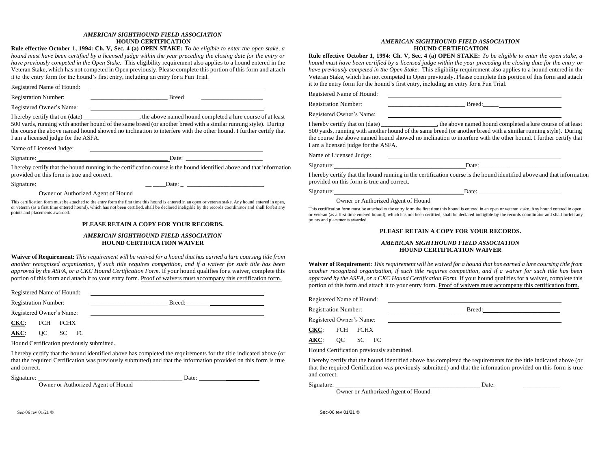#### *AMERICAN SIGHTHOUND FIELD ASSOCIATION* **HOUND CERTIFICATION**

**Rule effective October 1, 1994: Ch. V, Sec. 4 (a) OPEN STAKE:** *To be eligible to enter the open stake, a hound must have been certified by a licensed judge within the year preceding the closing date for the entry or have previously competed in the Open Stake.* This eligibility requirement also applies to a hound entered in the Veteran Stake, which has not competed in Open previously. Please complete this portion of this form and attach it to the entry form for the hound's first entry, including an entry for a Fun Trial.

Registered Name of Hound:

Registration Number: The Breed Electronics and Breed Electronics and Breed Electronics and Breed Electronics and Breed Electronics and Breed Electronics and Breed Electronics and Breed Electronics and Breed Electronics and

Registered Owner's Name:

I hereby certify that on (date) \_\_\_\_\_\_\_\_\_\_\_\_\_\_\_\_\_\_, the above named hound completed a lure course of at least 500 yards, running with another hound of the same breed (or another breed with a similar running style). During the course the above named hound showed no inclination to interfere with the other hound. I further certify that I am a licensed judge for the ASFA.

Name of Licensed Judge:

Signature:  $\Box$ 

I hereby certify that the hound running in the certification course is the hound identified above and that information provided on this form is true and correct.

Signature: \_\_ \_\_\_\_Date: \_ \_\_\_\_\_\_\_\_\_\_\_\_\_\_\_\_\_\_\_\_\_\_\_\_\_

Owner or Authorized Agent of Hound

This certification form must be attached to the entry form the first time this hound is entered in an open or veteran stake. Any hound entered in open, or veteran (as a first time entered hound), which has not been certified, shall be declared ineligible by the records coordinator and shall forfeit any points and placements awarded.

### **PLEASE RETAIN A COPY FOR YOUR RECORDS.**

### *AMERICAN SIGHTHOUND FIELD ASSOCIATION* **HOUND CERTIFICATION WAIVER**

**Waiver of Requirement:** *This requirement will be waived for a hound that has earned a lure coursing title from another recognized organization, if such title requires competition, and if a waiver for such title has been approved by the ASFA, or a CKC Hound Certification Form.* If your hound qualifies for a waiver, complete this portion of this form and attach it to your entry form. Proof of waivers must accompany this certification form.

Registered Name of Hound:

Registration Number: \_\_\_\_\_\_\_\_\_\_\_\_\_\_\_\_\_\_\_\_\_\_\_\_\_ Breed:\_\_\_\_\_\_\_\_

Registered Owner's Name:

**CKC**: FCH FCHX

**AKC**: QC SC FC

Hound Certification previously submitted.

I hereby certify that the hound identified above has completed the requirements for the title indicated above (or that the required Certification was previously submitted) and that the information provided on this form is true and correct.

Signature: \_\_\_\_\_\_\_\_\_\_\_\_\_\_\_\_\_\_\_\_\_\_\_\_\_\_\_\_\_\_\_\_\_\_\_\_\_\_\_\_\_\_\_\_\_\_\_ Date: \_\_\_\_\_\_\_\_\_\_\_

Owner or Authorized Agent of Hound

### *AMERICAN SIGHTHOUND FIELD ASSOCIATION* **HOUND CERTIFICATION**

**Rule effective October 1, 1994: Ch. V, Sec. 4 (a) OPEN STAKE:** *To be eligible to enter the open stake, a hound must have been certified by a licensed judge within the year preceding the closing date for the entry or have previously competed in the Open Stake.* This eligibility requirement also applies to a hound entered in the Veteran Stake, which has not competed in Open previously. Please complete this portion of this form and attach it to the entry form for the hound's first entry, including an entry for a Fun Trial.

Registered Name of Hound:

Registration Number: <br>Breed:

Registered Owner's Name:

I hereby certify that on (date)  $\qquad \qquad$ , the above named hound completed a lure course of at least 500 yards, running with another hound of the same breed (or another breed with a similar running style). During the course the above named hound showed no inclination to interfere with the other hound. I further certify that I am a licensed judge for the ASFA.

Name of Licensed Judge:

Signature: \_\_\_\_\_\_\_\_\_\_\_\_\_\_\_\_\_\_\_\_\_\_\_\_\_\_\_\_\_\_\_\_\_\_\_\_\_\_\_\_\_\_Date: \_\_\_\_\_\_\_\_\_\_\_\_\_\_\_\_\_\_\_\_\_\_\_\_\_\_

I hereby certify that the hound running in the certification course is the hound identified above and that information provided on this form is true and correct.

Signature: \_\_\_\_\_\_\_\_\_\_\_\_\_\_Date: \_\_\_\_\_\_\_\_\_\_\_\_\_\_\_\_\_\_\_\_\_\_\_\_\_\_

### Owner or Authorized Agent of Hound

This certification form must be attached to the entry form the first time this hound is entered in an open or veteran stake. Any hound entered in open, or veteran (as a first time entered hound), which has not been certified, shall be declared ineligible by the records coordinator and shall forfeit any points and placements awarded.

### **PLEASE RETAIN A COPY FOR YOUR RECORDS.**

### *AMERICAN SIGHTHOUND FIELD ASSOCIATION* **HOUND CERTIFICATION WAIVER**

**Waiver of Requirement:** *This requirement will be waived for a hound that has earned a lure coursing title from another recognized organization, if such title requires competition, and if a waiver for such title has been approved by the ASFA, or a CKC Hound Certification Form.* If your hound qualifies for a waiver, complete this portion of this form and attach it to your entry form. Proof of waivers must accompany this certification form.

Registered Name of Hound: Registration Number:  $\qquad \qquad$  Breed:

Registered Owner's Name:

**CKC**: FCH FCHX

**AKC**: QC SC FC

Hound Certification previously submitted.

I hereby certify that the hound identified above has completed the requirements for the title indicated above (or that the required Certification was previously submitted) and that the information provided on this form is true and correct.

Signature: \_\_\_\_\_\_\_\_\_\_\_\_\_\_\_\_\_\_\_\_\_\_\_\_\_\_\_\_\_\_\_\_\_\_\_\_\_\_\_\_\_\_\_\_\_\_\_ Date: \_\_\_\_\_\_\_\_\_\_\_\_

Owner or Authorized Agent of Hound

Sec-06 rev 01/21 ©

Sec-06 rev 01/21 ©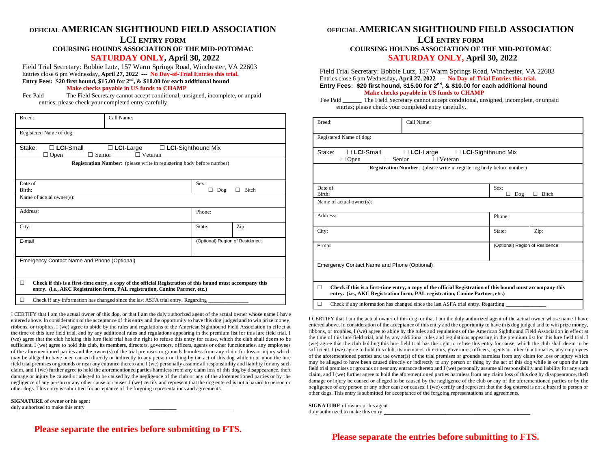# **OFFICIAL AMERICAN SIGHTHOUND FIELD ASSOCIATION**

**LCI ENTRY FORM COURSING HOUNDS ASSOCIATION OF THE MID-POTOMAC**

### **SATURDAY ONLY, April 30, 2022**

Field Trial Secretary: Bobbie Lutz, 157 Warm Springs Road, Winchester, VA 22603 Entries close 6 pm Wednesday**, April 27, 2022** --- **No Day-of-Trial Entries this trial. Entry Fees: \$20 first hound, \$15.00 for 2nd , & \$10.00 for each additional hound**

#### **Make checks payable in US funds to CHAMP**

Fee Paid \_\_\_\_\_\_\_ The Field Secretary cannot accept conditional, unsigned, incomplete, or unpaid entries; please check your completed entry carefully.

| Breed:                                                                                                                                                                                               | Call Name:                         |                           |                                 |  |  |  |  |
|------------------------------------------------------------------------------------------------------------------------------------------------------------------------------------------------------|------------------------------------|---------------------------|---------------------------------|--|--|--|--|
| Registered Name of dog:                                                                                                                                                                              |                                    |                           |                                 |  |  |  |  |
| $\Box$ LCI-Small<br>Stake:<br>Senior<br>Open<br>ा                                                                                                                                                    | $\Box$ LCI-Large<br>$\Box$ Veteran | $\Box$ LCI-Sighthound Mix |                                 |  |  |  |  |
| <b>Registration Number:</b> (please write in registering body before number)                                                                                                                         |                                    |                           |                                 |  |  |  |  |
| Date of<br>Birth:                                                                                                                                                                                    |                                    | Sex:<br>Dog<br>ш          | Bitch                           |  |  |  |  |
| Name of actual owner(s):                                                                                                                                                                             |                                    |                           |                                 |  |  |  |  |
| Address:                                                                                                                                                                                             |                                    | Phone:                    |                                 |  |  |  |  |
| City:                                                                                                                                                                                                |                                    | State:                    | Zip:                            |  |  |  |  |
| E-mail                                                                                                                                                                                               |                                    |                           | (Optional) Region of Residence: |  |  |  |  |
| Emergency Contact Name and Phone (Optional)                                                                                                                                                          |                                    |                           |                                 |  |  |  |  |
| $\Box$<br>Check if this is a first-time entry, a copy of the official Registration of this hound must accompany this<br>entry. (i.e., AKC Registration form, PAL registration, Canine Partner, etc.) |                                    |                           |                                 |  |  |  |  |
| п<br>Check if any information has changed since the last ASFA trial entry. Regarding                                                                                                                 |                                    |                           |                                 |  |  |  |  |

I CERTIFY that I am the actual owner of this dog, or that I am the duly authorized agent of the actual owner whose name I hav e entered above. In consideration of the acceptance of this entry and the opportunity to have this dog judged and to win prize money, ribbons, or trophies, I (we) agree to abide by the rules and regulations of the American Sighthound Field Association in effect at the time of this lure field trial, and by any additional rules and regulations appearing in the premium list for this lure field trial. I (we) agree that the club holding this lure field trial has the right to refuse this entry for cause, which the club shall deem to be sufficient. I (we) agree to hold this club, its members, directors, governors, officers, agents or other functionaries, any employees of the aforementioned parties and the owner(s) of the trial premises or grounds harmless from any claim for loss or injury wh ich may be alleged to have been caused directly or indirectly to any person or thing by the act of this dog while in or upon the lure field trial premises or grounds or near any entrance thereto and I (we) personally assume all responsibility and liability for any such claim, and I (we) further agree to hold the aforementioned parties harmless from any claim loss of this dog by disappearance, theft damage or injury be caused or alleged to be caused by the negligence of the club or any of the aforementioned parties or by the negligence of any person or any other cause or causes. I (we) certify and represent that the dog entered is not a hazard to person or other dogs. This entry is submitted for acceptance of the forgoing representations and agreements.

**SIGNATURE** of owner or his agent duly authorized to make this entry

 **Please separate the entries before submitting to FTS.**

### **OFFICIAL AMERICAN SIGHTHOUND FIELD ASSOCIATION LCI ENTRY FORM**

### **COURSING HOUNDS ASSOCIATION OF THE MID-POTOMAC SATURDAY ONLY, April 30, 2022**

Field Trial Secretary: Bobbie Lutz, 157 Warm Springs Road, Winchester, VA 22603 Entries close 6 pm Wednesday**, April 27, 2022** --- **No Day-of-Trial Entries this trial. Entry Fees: \$20 first hound, \$15.00 for 2nd , & \$10.00 for each additional hound Make checks payable in US funds to CHAMP**

Fee Paid \_\_\_\_\_\_ The Field Secretary cannot accept conditional, unsigned, incomplete, or unpaid entries; please check your completed entry carefully.

| Breed:                                                                                                                                                                                           | Call Name:                                                      |                                 |       |  |  |  |  |
|--------------------------------------------------------------------------------------------------------------------------------------------------------------------------------------------------|-----------------------------------------------------------------|---------------------------------|-------|--|--|--|--|
| Registered Name of dog:                                                                                                                                                                          |                                                                 |                                 |       |  |  |  |  |
| $\Box$ LCI-Small<br>Stake:<br>Senior<br>Open                                                                                                                                                     | $\Box$ LCI-Sighthound Mix<br>$\Box$ LCI-Large<br>$\Box$ Veteran |                                 |       |  |  |  |  |
| <b>Registration Number:</b> (please write in registering body before number)                                                                                                                     |                                                                 |                                 |       |  |  |  |  |
| Date of<br>Birth:                                                                                                                                                                                |                                                                 | Sex:<br>Dog<br>п                | Bitch |  |  |  |  |
| Name of actual owner(s):                                                                                                                                                                         |                                                                 |                                 |       |  |  |  |  |
| Address:                                                                                                                                                                                         |                                                                 | Phone:                          |       |  |  |  |  |
| City:                                                                                                                                                                                            |                                                                 | State:                          | Zip:  |  |  |  |  |
| E-mail                                                                                                                                                                                           |                                                                 | (Optional) Region of Residence: |       |  |  |  |  |
| Emergency Contact Name and Phone (Optional)                                                                                                                                                      |                                                                 |                                 |       |  |  |  |  |
| П.<br>Check if this is a first-time entry, a copy of the official Registration of this hound must accompany this<br>entry. (i.e., AKC Registration form, PAL registration, Canine Partner, etc.) |                                                                 |                                 |       |  |  |  |  |
| Check if any information has changed since the last ASFA trial entry. Regarding<br>п                                                                                                             |                                                                 |                                 |       |  |  |  |  |

I CERTIFY that I am the actual owner of this dog, or that I am the duly authorized agent of the actual owner whose name I hav e entered above. In consideration of the acceptance of this entry and the opportunity to have this dog judged and to win prize money, ribbons, or trophies, I (we) agree to abide by the rules and regulations of the American Sighthound Field Association in effect at the time of this lure field trial, and by any additional rules and regulations appearing in the premium list for this lure field trial. I (we) agree that the club holding this lure field trial has the right to refuse this entry for cause, which the club shall deem to be sufficient. I (we) agree to hold this club, its members, directors, governors, officers, agents or other functionaries, any employees of the aforementioned parties and the owner(s) of the trial premises or grounds harmless from any claim for loss or injury wh ich may be alleged to have been caused directly or indirectly to any person or thing by the act of this dog while in or upon the lure field trial premises or grounds or near any entrance thereto and I (we) personally assume all responsibility and liability for any such claim, and I (we) further agree to hold the aforementioned parties harmless from any claim loss of this dog by disappearance, theft damage or injury be caused or alleged to be caused by the negligence of the club or any of the aforementioned parties or by the negligence of any person or any other cause or causes. I (we) certify and represent that the dog entered is not a hazard to person or other dogs. This entry is submitted for acceptance of the forgoing representations and agreements.

**SIGNATURE** of owner or his agent duly authorized to make this entry

 **Please separate the entries before submitting to FTS.**